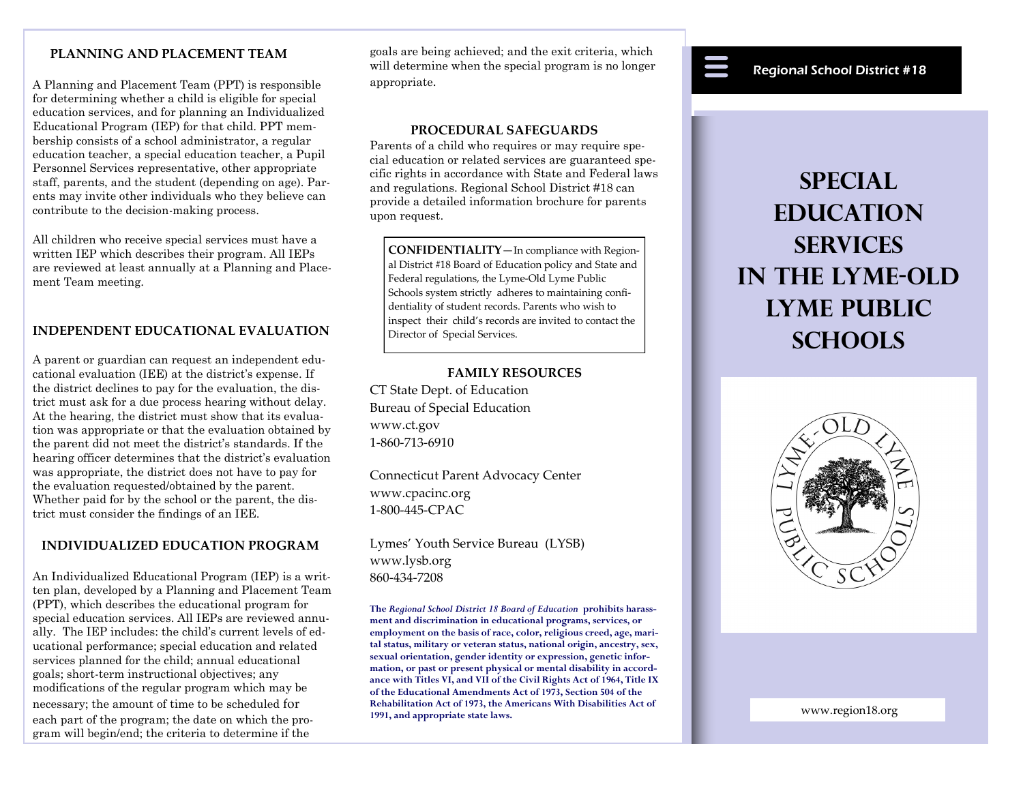# **PLANNING AND PLACEMENT TEAM**

A Planning and Placement Team (PPT) is responsible for determining whether a child is eligible for special education services, and for planning an Individualized Educational Program (IEP) for that child. PPT membership consists of a school administrator, a regular education teacher, a special education teacher, a Pupil Personnel Services representative, other appropriate staff, parents, and the student (depending on age). Parents may invite other individuals who they believe can contribute to the decision-making process.

All children who receive special services must have a written IEP which describes their program. All IEPs are reviewed at least annually at a Planning and Placement Team meeting.

## **INDEPENDENT EDUCATIONAL EVALUATION**

A parent or guardian can request an independent educational evaluation (IEE) at the district's expense. If the district declines to pay for the evaluation, the district must ask for a due process hearing without delay. At the hearing, the district must show that its evaluation was appropriate or that the evaluation obtained by the parent did not meet the district's standards. If the hearing officer determines that the district's evaluation was appropriate, the district does not have to pay for the evaluation requested/obtained by the parent. Whether paid for by the school or the parent, the district must consider the findings of an IEE.

## **INDIVIDUALIZED EDUCATION PROGRAM**

An Individualized Educational Program (IEP) is a written plan, developed by a Planning and Placement Team (PPT), which describes the educational program for special education services. All IEPs are reviewed annually. The IEP includes: the child's current levels of educational performance; special education and related services planned for the child; annual educational goals; short-term instructional objectives; any modifications of the regular program which may be necessary; the amount of time to be scheduled for each part of the program; the date on which the program will begin/end; the criteria to determine if the

goals are being achieved; and the exit criteria, which will determine when the special program is no longer appropriate.

#### **PROCEDURAL SAFEGUARDS**

Parents of a child who requires or may require special education or related services are guaranteed specific rights in accordance with State and Federal laws and regulations. Regional School District #18 can provide a detailed information brochure for parents upon request.

**CONFIDENTIALITY**—In compliance with Regional District #18 Board of Education policy and State and Federal regulations, the Lyme-Old Lyme Public Schools system strictly adheres to maintaining confidentiality of student records. Parents who wish to inspect their child's records are invited to contact the Director of Special Services.

## **FAMILY RESOURCES**

CT State Dept. of Education Bureau of Special Education www.ct.gov 1-860-713-6910

Connecticut Parent Advocacy Center www.cpacinc.org 1-800-445-CPAC

Lymes' Youth Service Bureau (LYSB) www.lysb.org 860-434-7208

**The** *Regional School District 18 Board of Education* **prohibits harassment and discrimination in educational programs, services, or employment on the basis of race, color, religious creed, age, marital status, military or veteran status, national origin, ancestry, sex, sexual orientation, gender identity or expression, genetic information, or past or present physical or mental disability in accordance with Titles VI, and VII of the Civil Rights Act of 1964, Title IX of the Educational Amendments Act of 1973, Section 504 of the Rehabilitation Act of 1973, the Americans With Disabilities Act of 1991, and appropriate state laws.** 

# Regional School District #18

# **Special EDUCATION Services in the Lyme-Old Lyme Public Schools**



www.region18.org